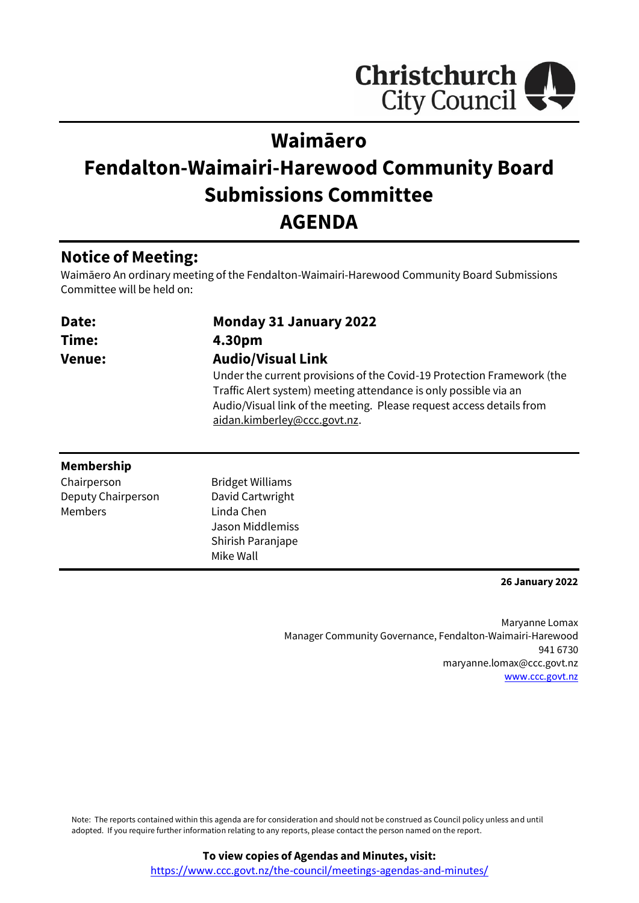

# **Waimāero**

# **Fendalton-Waimairi-Harewood Community Board Submissions Committee AGENDA**

## **Notice of Meeting:**

Waimāero An ordinary meeting of the Fendalton-Waimairi-Harewood Community Board Submissions Committee will be held on:

| Date:         | <b>Monday 31 January 2022</b>                                                                                                                                                                                                                      |
|---------------|----------------------------------------------------------------------------------------------------------------------------------------------------------------------------------------------------------------------------------------------------|
| Time:         | 4.30pm                                                                                                                                                                                                                                             |
| <b>Venue:</b> | <b>Audio/Visual Link</b>                                                                                                                                                                                                                           |
|               | Under the current provisions of the Covid-19 Protection Framework (the<br>Traffic Alert system) meeting attendance is only possible via an<br>Audio/Visual link of the meeting. Please request access details from<br>aidan.kimberley@ccc.govt.nz. |

| <b>Membership</b>  |                         |  |
|--------------------|-------------------------|--|
| Chairperson        | <b>Bridget Williams</b> |  |
| Deputy Chairperson | David Cartwright        |  |
| <b>Members</b>     | Linda Chen              |  |
|                    | Jason Middlemiss        |  |
|                    | Shirish Paranjape       |  |
|                    | Mike Wall               |  |
|                    |                         |  |

### **26 January 2022**

Maryanne Lomax Manager Community Governance, Fendalton-Waimairi-Harewood 941 6730 maryanne.lomax@ccc.govt.nz [www.ccc.govt.nz](http://www.ccc.govt.nz/)

Note: The reports contained within this agenda are for consideration and should not be construed as Council policy unless and until adopted. If you require further information relating to any reports, please contact the person named on the report.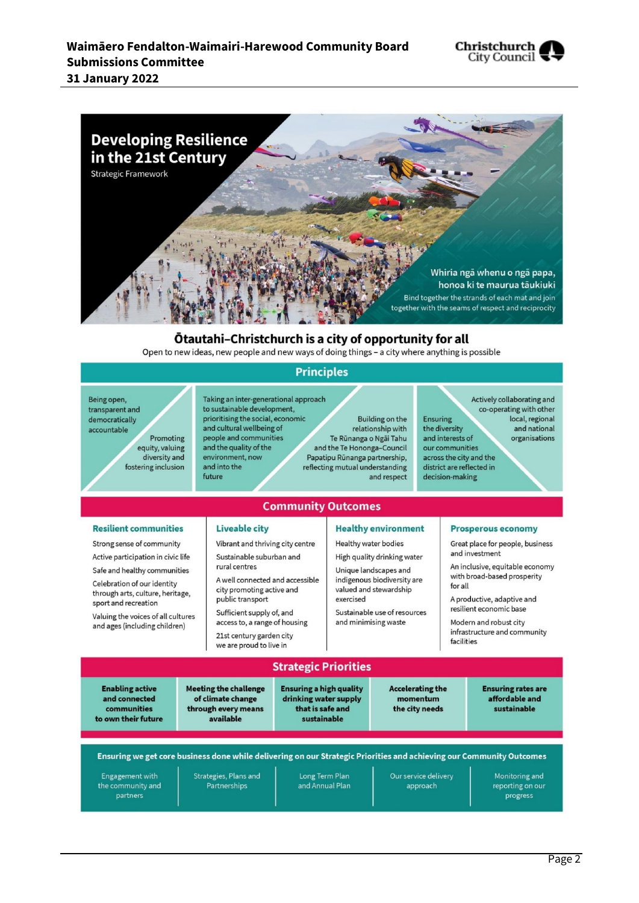



#### Otautahi-Christchurch is a city of opportunity for all

Open to new ideas, new people and new ways of doing things - a city where anything is possible

#### **Principles**

Being open, transparent and democratically accountable Promoting equity, valuing diversity and fostering inclusion

**Resilient communities** 

Strong sense of community

Active participation in civic life

Safe and healthy communities

through arts, culture, heritage,

Valuing the voices of all cultures

and ages (including children)

Celebration of our identity

sport and recreation

Taking an inter-generational approach to sustainable development, prioritising the social, economic and cultural wellbeing of people and communities and the quality of the environment, now and into the future

Building on the relationship with Te Rūnanga o Ngai Tahu and the Te Hononga-Council Papatipu Rūnanga partnership, reflecting mutual understanding and respect

Ensuring the diversity and interests of our communities across the city and the district are reflected in

Actively collaborating and co-operating with other local, regional and national organisations

decision-making

## **Community Outcomes**

#### **Liveable city**

Vibrant and thriving city centre Sustainable suburban and rural centres

A well connected and accessible city promoting active and public transport

Sufficient supply of, and access to, a range of housing 21st century garden city we are proud to live in

#### **Healthy environment**

Healthy water bodies

High quality drinking water Unique landscapes and indigenous biodiversity are valued and stewardship exercised

Sustainable use of resources and minimising waste

#### **Prosperous economy**

Great place for people, business and investment

An inclusive, equitable economy with broad-based prosperity for all

A productive, adaptive and resilient economic base

Modern and robust city infrastructure and community facilities

| <b>Strategic Priorities</b>                                                   |                                                                                       |                                                                                                                      |                                                       |                                                            |
|-------------------------------------------------------------------------------|---------------------------------------------------------------------------------------|----------------------------------------------------------------------------------------------------------------------|-------------------------------------------------------|------------------------------------------------------------|
| <b>Enabling active</b><br>and connected<br>communities<br>to own their future | <b>Meeting the challenge</b><br>of climate change<br>through every means<br>available | <b>Ensuring a high quality</b><br>drinking water supply<br>that is safe and<br>sustainable                           | <b>Accelerating the</b><br>momentum<br>the city needs | <b>Ensuring rates are</b><br>affordable and<br>sustainable |
|                                                                               |                                                                                       | Ensuring we get core business done while delivering on our Strategic Priorities and achieving our Community Outcomes |                                                       |                                                            |
| Engagement with<br>the community and<br>partners                              | Strategies, Plans and<br>Partnerships                                                 | Long Term Plan<br>and Annual Plan                                                                                    | Our service delivery<br>approach                      | Monitoring and<br>reporting on our<br>progress             |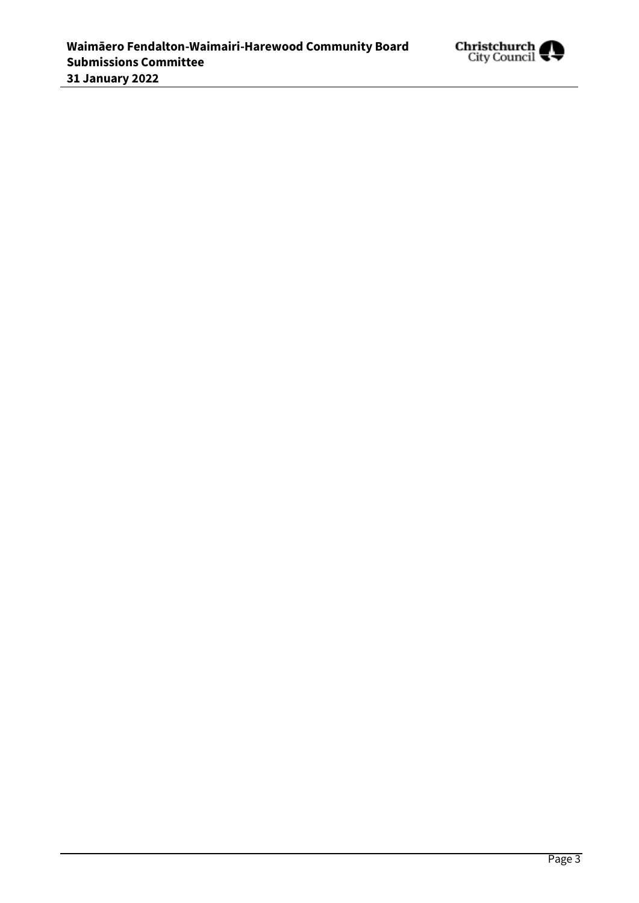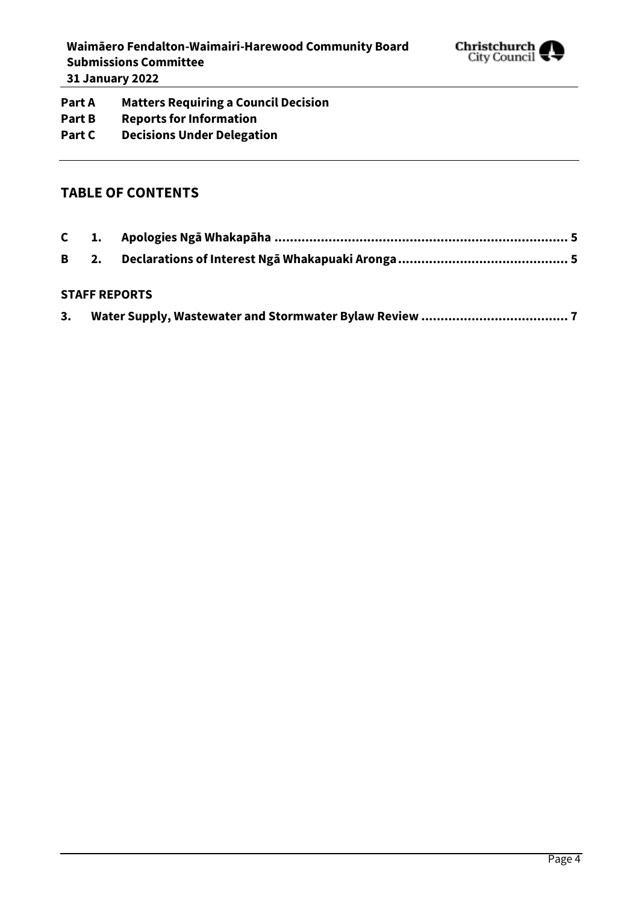

**Part A Matters Requiring a Council Decision Part B Reports for Information Part C Decisions Under Delegation**

### **TABLE OF CONTENTS**

### **STAFF REPORTS**

| э. |  |
|----|--|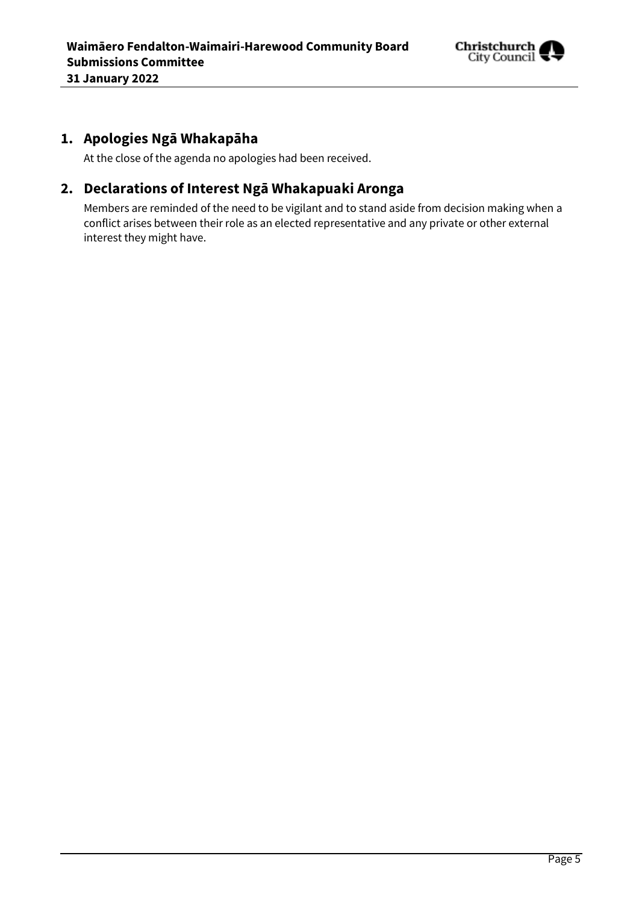

## <span id="page-4-0"></span>**1. Apologies Ngā Whakapāha**

At the close of the agenda no apologies had been received.

### <span id="page-4-1"></span>**2. Declarations of Interest Ngā Whakapuaki Aronga**

Members are reminded of the need to be vigilant and to stand aside from decision making when a conflict arises between their role as an elected representative and any private or other external interest they might have.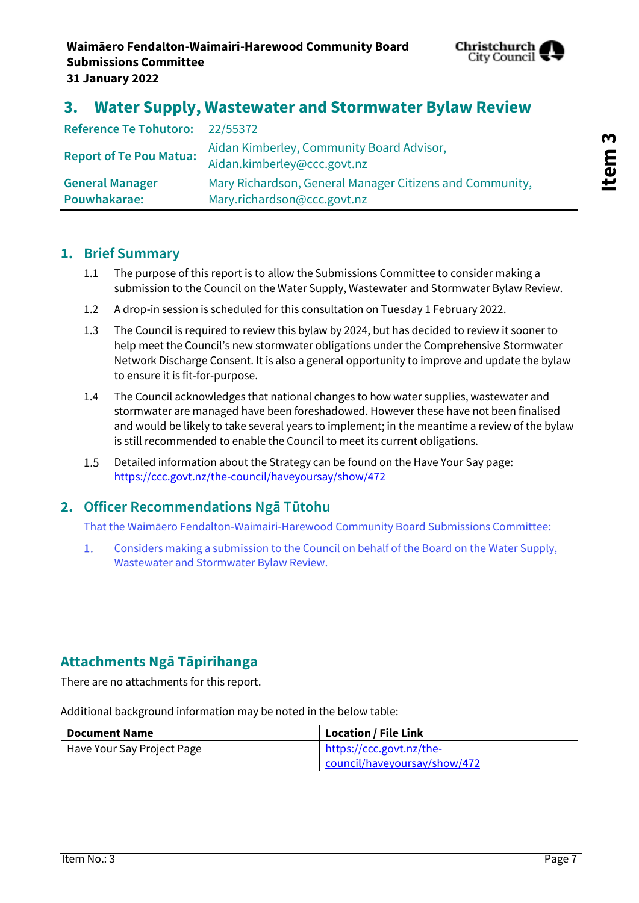

## <span id="page-6-0"></span>**3. Water Supply, Wastewater and Stormwater Bylaw Review**

| Reference Te Tohutoro: 22/55372 |                                                                          |  |
|---------------------------------|--------------------------------------------------------------------------|--|
| <b>Report of Te Pou Matua:</b>  | Aidan Kimberley, Community Board Advisor,<br>Aidan.kimberley@ccc.govt.nz |  |
| <b>General Manager</b>          | Mary Richardson, General Manager Citizens and Community,                 |  |
| Pouwhakarae:                    | Mary.richardson@ccc.govt.nz                                              |  |

### **1. Brief Summary**

- 1.1 The purpose of this report is to allow the Submissions Committee to consider making a submission to the Council on the Water Supply, Wastewater and Stormwater Bylaw Review.
- 1.2 A drop-in session is scheduled for this consultation on Tuesday 1 February 2022.
- 1.3 The Council is required to review this bylaw by 2024, but has decided to review it sooner to help meet the Council's new stormwater obligations under the Comprehensive Stormwater Network Discharge Consent. It is also a general opportunity to improve and update the bylaw to ensure it is fit-for-purpose.
- 1.4 The Council acknowledges that national changes to how water supplies, wastewater and stormwater are managed have been foreshadowed. However these have not been finalised and would be likely to take several years to implement; in the meantime a review of the bylaw is still recommended to enable the Council to meet its current obligations.
- $1.5$ Detailed information about the Strategy can be found on the Have Your Say page: <https://ccc.govt.nz/the-council/haveyoursay/show/472>

### **2. Officer Recommendations Ngā Tūtohu**

That the Waimāero Fendalton-Waimairi-Harewood Community Board Submissions Committee:

Considers making a submission to the Council on behalf of the Board on the Water Supply,  $1<sub>1</sub>$ Wastewater and Stormwater Bylaw Review.

## **Attachments Ngā Tāpirihanga**

There are no attachments for this report.

Additional background information may be noted in the below table:

| Document Name              | Location / File Link         |
|----------------------------|------------------------------|
| Have Your Say Project Page | https://ccc.govt.nz/the-     |
|                            | council/haveyoursay/show/472 |